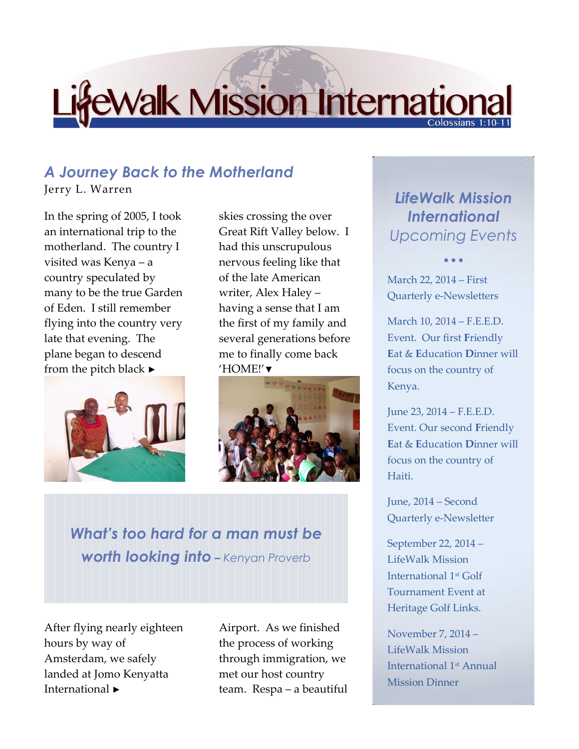## **EWalk Mission International**

## *A Journey Back to the Motherland*

Jerry L. Warren

In the spring of 2005, I took an international trip to the motherland. The country I visited was Kenya – a country speculated by many to be the true Garden of Eden. I still remember flying into the country very late that evening. The plane began to descend from the pitch black  $\blacktriangleright$ 



skies crossing the over Great Rift Valley below. I had this unscrupulous nervous feeling like that of the late American writer, Alex Haley – having a sense that I am the first of my family and several generations before me to finally come back 'HOME!'▼



*What's too hard for a man must be worth looking into – Kenyan Proverb*

After flying nearly eighteen hours by way of Amsterdam, we safely landed at Jomo Kenyatta International ►

Airport. As we finished the process of working through immigration, we met our host country team. Respa – a beautiful

## *LifeWalk Mission International Upcoming Events*

 $\bullet$   $\bullet$   $\bullet$ 

March 22, 2014 – First Quarterly e-Newsletters

March 10, 2014 – F.E.E.D. Event. Our first **F**riendly **E**at & **E**ducation **D**inner will focus on the country of Kenya.

June 23, 2014 – F.E.E.D. Event. Our second **F**riendly **E**at & **E**ducation **D**inner will focus on the country of Haiti.

June, 2014 – Second Quarterly e-Newsletter

September 22, 2014 – LifeWalk Mission International 1st Golf Tournament Event at Heritage Golf Links.

November 7, 2014 – LifeWalk Mission International 1st Annual Mission Dinner